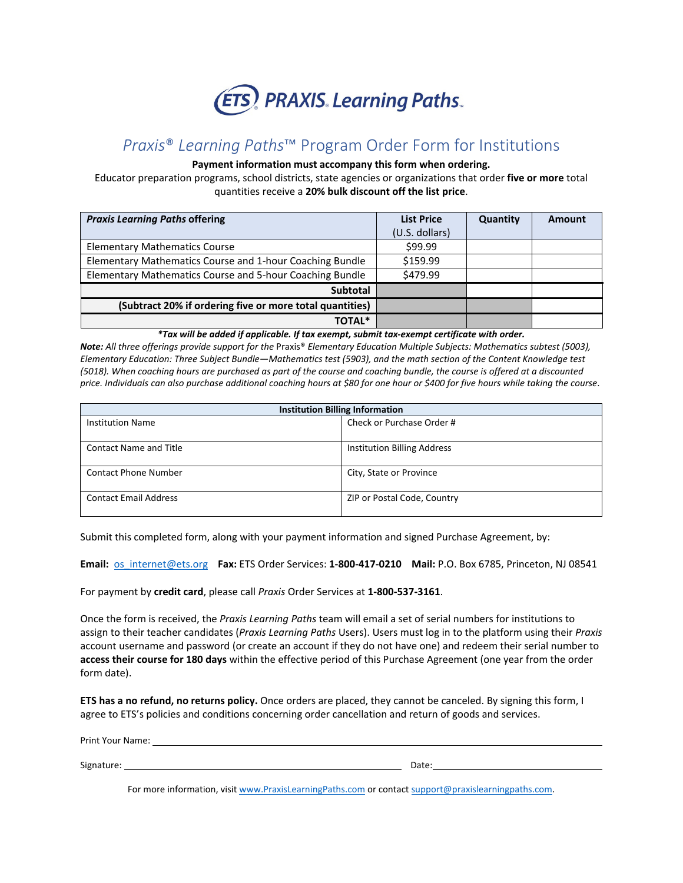

# *Praxis*® *Learning Paths*™ Program Order Form for Institutions

## **Payment information must accompany this form when ordering.**

Educator preparation programs, school districts, state agencies or organizations that order **five or more** total quantities receive a **20% bulk discount off the list price**.

| <b>Praxis Learning Paths offering</b>                    | <b>List Price</b> | Quantity | Amount |
|----------------------------------------------------------|-------------------|----------|--------|
|                                                          | (U.S. dollars)    |          |        |
| <b>Elementary Mathematics Course</b>                     | \$99.99           |          |        |
| Elementary Mathematics Course and 1-hour Coaching Bundle | \$159.99          |          |        |
| Elementary Mathematics Course and 5-hour Coaching Bundle | \$479.99          |          |        |
| <b>Subtotal</b>                                          |                   |          |        |
| (Subtract 20% if ordering five or more total quantities) |                   |          |        |
| <b>TOTAL*</b>                                            |                   |          |        |

*\*Tax will be added if applicable. If tax exempt, submit tax-exempt certificate with order.*

*Note: All three offerings provide support for the* Praxis® *Elementary Education Multiple Subjects: Mathematics subtest (5003), Elementary Education: Three Subject Bundle—Mathematics test (5903), and the math section of the Content Knowledge test (5018). When coaching hours are purchased as part of the course and coaching bundle, the course is offered at a discounted price. Individuals can also purchase additional coaching hours at \$80 for one hour or \$400 for five hours while taking the course*.

| <b>Institution Billing Information</b> |                                    |  |
|----------------------------------------|------------------------------------|--|
| <b>Institution Name</b>                | Check or Purchase Order #          |  |
|                                        |                                    |  |
| Contact Name and Title                 | <b>Institution Billing Address</b> |  |
|                                        |                                    |  |
| Contact Phone Number                   | City, State or Province            |  |
|                                        |                                    |  |
| <b>Contact Email Address</b>           | ZIP or Postal Code, Country        |  |
|                                        |                                    |  |

Submit this completed form, along with your payment information and signed Purchase Agreement, by:

**Email:** [os\\_internet@ets.org](mailto:os_internet@ets.org) **Fax:** ETS Order Services: **1-800-417-0210 Mail:** P.O. Box 6785, Princeton, NJ 08541

For payment by **credit card**, please call *Praxis* Order Services at **1-800-537-3161**.

Once the form is received, the *Praxis Learning Paths* team will email a set of serial numbers for institutions to assign to their teacher candidates (*Praxis Learning Paths* Users). Users must log in to the platform using their *Praxis* account username and password (or create an account if they do not have one) and redeem their serial number to **access their course for 180 days** within the effective period of this Purchase Agreement (one year from the order form date).

**ETS has a no refund, no returns policy.** Once orders are placed, they cannot be canceled. By signing this form, I agree to ETS's policies and conditions concerning order cancellation and return of goods and services.

| Print Your Name: |       |  |
|------------------|-------|--|
|                  |       |  |
| Signature:       | Date: |  |

For more information, visi[t www.PraxisLearningPaths.com](http://www.praxislearningpaths.com/) or contact support@praxislearningpaths.com.